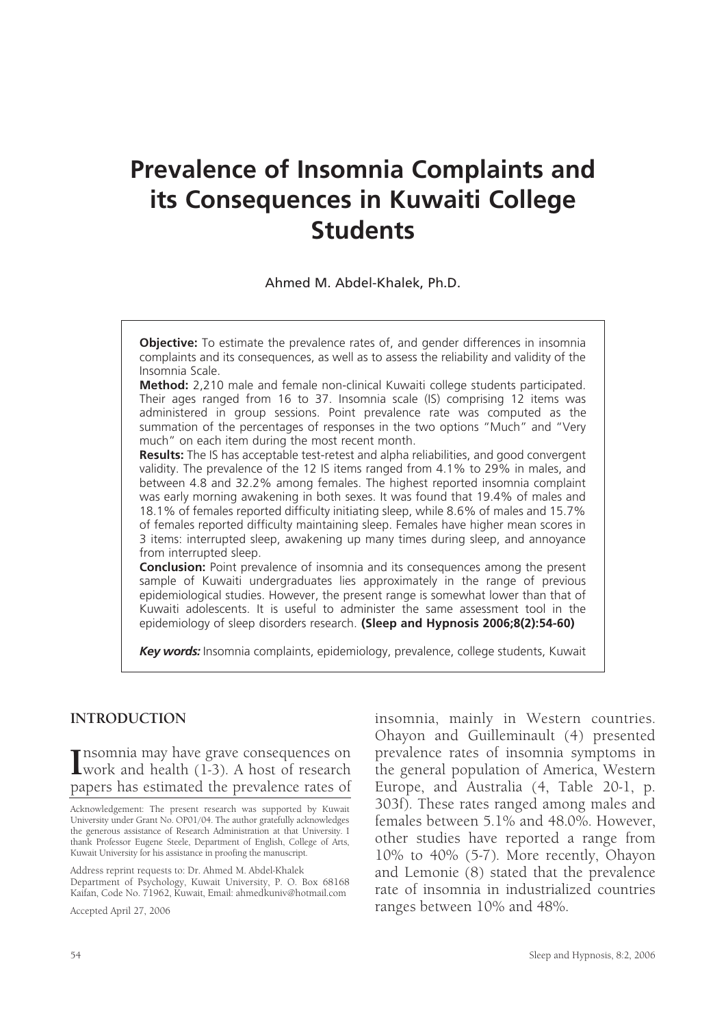# **Prevalence of Insomnia Complaints and its Consequences in Kuwaiti College Students**

Ahmed M. Abdel-Khalek, Ph.D.

**Objective:** To estimate the prevalence rates of, and gender differences in insomnia complaints and its consequences, as well as to assess the reliability and validity of the Insomnia Scale.

**Method:** 2,210 male and female non-clinical Kuwaiti college students participated. Their ages ranged from 16 to 37. Insomnia scale (IS) comprising 12 items was administered in group sessions. Point prevalence rate was computed as the summation of the percentages of responses in the two options "Much" and "Very much" on each item during the most recent month.

**Results:** The IS has acceptable test-retest and alpha reliabilities, and good convergent validity. The prevalence of the 12 IS items ranged from 4.1% to 29% in males, and between 4.8 and 32.2% among females. The highest reported insomnia complaint was early morning awakening in both sexes. It was found that 19.4% of males and 18.1% of females reported difficulty initiating sleep, while 8.6% of males and 15.7% of females reported difficulty maintaining sleep. Females have higher mean scores in 3 items: interrupted sleep, awakening up many times during sleep, and annoyance from interrupted sleep.

**Conclusion:** Point prevalence of insomnia and its consequences among the present sample of Kuwaiti undergraduates lies approximately in the range of previous epidemiological studies. However, the present range is somewhat lower than that of Kuwaiti adolescents. It is useful to administer the same assessment tool in the epidemiology of sleep disorders research. **(Sleep and Hypnosis 2006;8(2):54-60)**

*Key words:* Insomnia complaints, epidemiology, prevalence, college students, Kuwait

#### **INTRODUCTION**

**I**nsomnia may have grave consequences on<br>
work and health (1-3). A host of research **The sommia may have grave consequences on** papers has estimated the prevalence rates of

Acknowledgement: The present research was supported by Kuwait University under Grant No. OP01/04. The author gratefully acknowledges the generous assistance of Research Administration at that University. I thank Professor Eugene Steele, Department of English, College of Arts, Kuwait University for his assistance in proofing the manuscript.

Address reprint requests to: Dr. Ahmed M. Abdel-Khalek Department of Psychology, Kuwait University, P. O. Box 68168 Kaifan, Code No. 71962, Kuwait, Email: ahmedkuniv@hotmail.com

Accepted April 27, 2006

insomnia, mainly in Western countries. Ohayon and Guilleminault (4) presented prevalence rates of insomnia symptoms in the general population of America, Western Europe, and Australia (4, Table 20-1, p. 303f). These rates ranged among males and females between 5.1% and 48.0%. However, other studies have reported a range from 10% to 40% (5-7). More recently, Ohayon and Lemonie (8) stated that the prevalence rate of insomnia in industrialized countries ranges between 10% and 48%.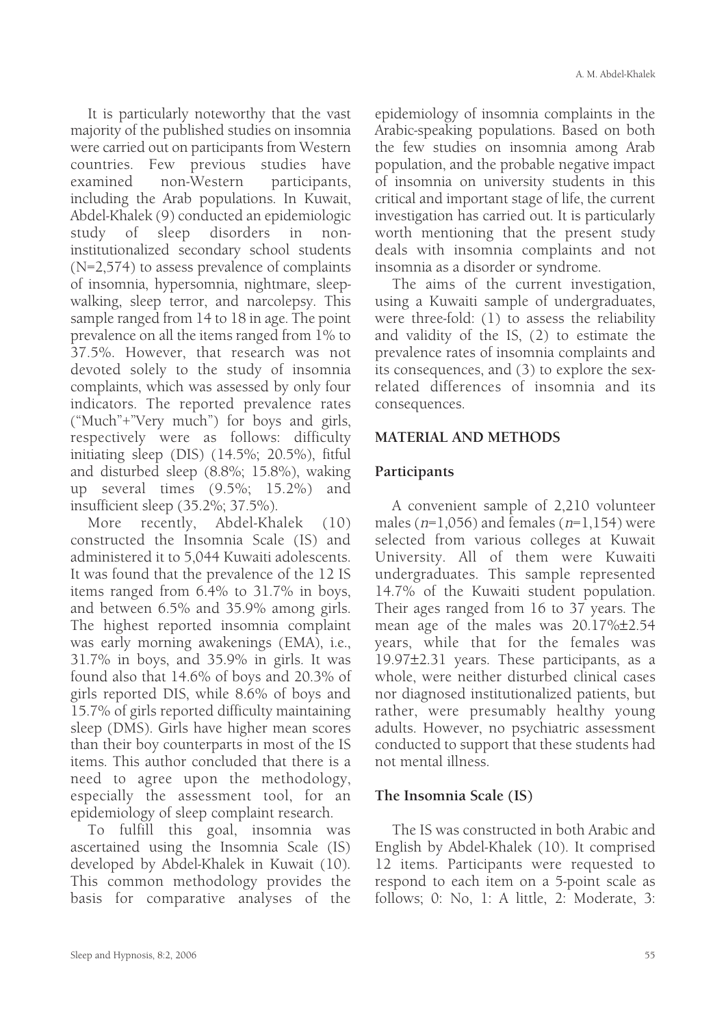It is particularly noteworthy that the vast majority of the published studies on insomnia were carried out on participants from Western countries. Few previous studies have examined non-Western participants, including the Arab populations. In Kuwait, Abdel-Khalek (9) conducted an epidemiologic study of sleep disorders in noninstitutionalized secondary school students (N=2,574) to assess prevalence of complaints of insomnia, hypersomnia, nightmare, sleepwalking, sleep terror, and narcolepsy. This sample ranged from 14 to 18 in age. The point prevalence on all the items ranged from 1% to 37.5%. However, that research was not devoted solely to the study of insomnia complaints, which was assessed by only four indicators. The reported prevalence rates ("Much"+"Very much") for boys and girls, respectively were as follows: difficulty initiating sleep (DIS) (14.5%; 20.5%), fitful and disturbed sleep (8.8%; 15.8%), waking up several times (9.5%; 15.2%) and insufficient sleep (35.2%; 37.5%).

More recently, Abdel-Khalek (10) constructed the Insomnia Scale (IS) and administered it to 5,044 Kuwaiti adolescents. It was found that the prevalence of the 12 IS items ranged from 6.4% to 31.7% in boys, and between 6.5% and 35.9% among girls. The highest reported insomnia complaint was early morning awakenings (EMA), i.e., 31.7% in boys, and 35.9% in girls. It was found also that 14.6% of boys and 20.3% of girls reported DIS, while 8.6% of boys and 15.7% of girls reported difficulty maintaining sleep (DMS). Girls have higher mean scores than their boy counterparts in most of the IS items. This author concluded that there is a need to agree upon the methodology, especially the assessment tool, for an epidemiology of sleep complaint research.

To fulfill this goal, insomnia was ascertained using the Insomnia Scale (IS) developed by Abdel-Khalek in Kuwait (10). This common methodology provides the basis for comparative analyses of the epidemiology of insomnia complaints in the Arabic-speaking populations. Based on both the few studies on insomnia among Arab population, and the probable negative impact of insomnia on university students in this critical and important stage of life, the current investigation has carried out. It is particularly worth mentioning that the present study deals with insomnia complaints and not insomnia as a disorder or syndrome.

The aims of the current investigation, using a Kuwaiti sample of undergraduates, were three-fold: (1) to assess the reliability and validity of the IS, (2) to estimate the prevalence rates of insomnia complaints and its consequences, and (3) to explore the sexrelated differences of insomnia and its consequences.

#### **MATERIAL AND METHODS**

#### **Participants**

A convenient sample of 2,210 volunteer males ( $n=1,056$ ) and females ( $n=1,154$ ) were selected from various colleges at Kuwait University. All of them were Kuwaiti undergraduates. This sample represented 14.7% of the Kuwaiti student population. Their ages ranged from 16 to 37 years. The mean age of the males was 20.17%±2.54 years, while that for the females was 19.97±2.31 years. These participants, as a whole, were neither disturbed clinical cases nor diagnosed institutionalized patients, but rather, were presumably healthy young adults. However, no psychiatric assessment conducted to support that these students had not mental illness.

#### **The Insomnia Scale (IS)**

The IS was constructed in both Arabic and English by Abdel-Khalek (10). It comprised 12 items. Participants were requested to respond to each item on a 5-point scale as follows; 0: No, 1: A little, 2: Moderate, 3: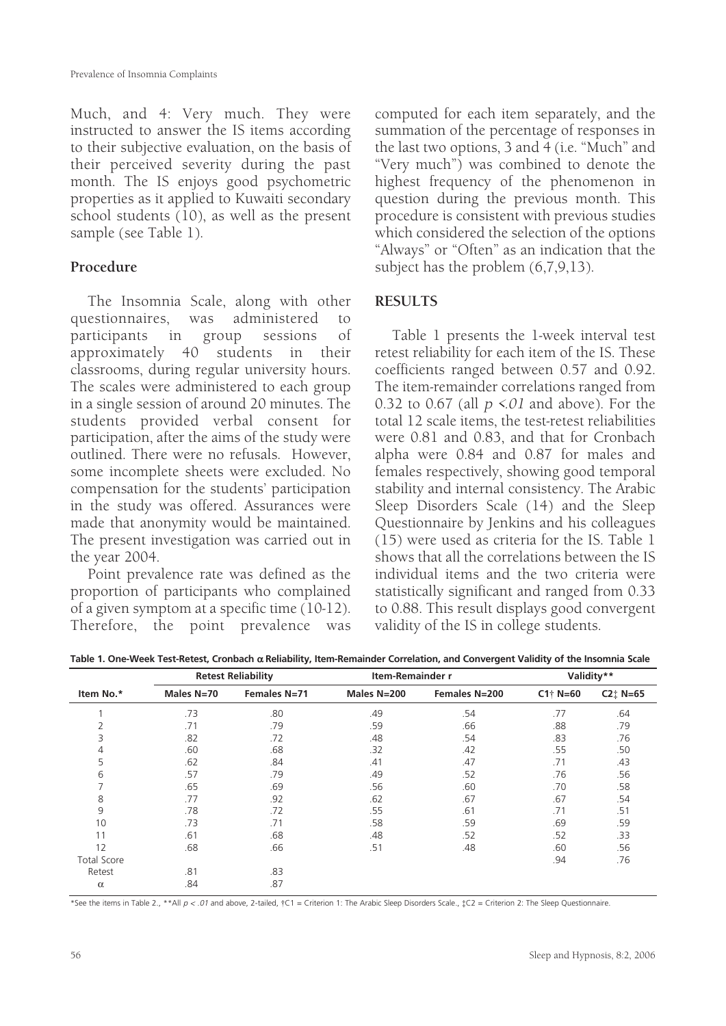Much, and 4: Very much. They were instructed to answer the IS items according to their subjective evaluation, on the basis of their perceived severity during the past month. The IS enjoys good psychometric properties as it applied to Kuwaiti secondary school students (10), as well as the present sample (see Table 1).

## **Procedure**

The Insomnia Scale, along with other questionnaires, was administered to participants in group sessions of approximately 40 students in their classrooms, during regular university hours. The scales were administered to each group in a single session of around 20 minutes. The students provided verbal consent for participation, after the aims of the study were outlined. There were no refusals. However, some incomplete sheets were excluded. No compensation for the students' participation in the study was offered. Assurances were made that anonymity would be maintained. The present investigation was carried out in the year 2004.

Point prevalence rate was defined as the proportion of participants who complained of a given symptom at a specific time (10-12). Therefore, the point prevalence was

computed for each item separately, and the summation of the percentage of responses in the last two options, 3 and 4 (i.e. "Much" and "Very much") was combined to denote the highest frequency of the phenomenon in question during the previous month. This procedure is consistent with previous studies which considered the selection of the options "Always" or "Often" as an indication that the subject has the problem (6,7,9,13).

### **RESULTS**

Table 1 presents the 1-week interval test retest reliability for each item of the IS. These coefficients ranged between 0.57 and 0.92. The item-remainder correlations ranged from 0.32 to 0.67 (all  $p \le 0$  and above). For the total 12 scale items, the test-retest reliabilities were 0.81 and 0.83, and that for Cronbach alpha were 0.84 and 0.87 for males and females respectively, showing good temporal stability and internal consistency. The Arabic Sleep Disorders Scale (14) and the Sleep Questionnaire by Jenkins and his colleagues (15) were used as criteria for the IS. Table 1 shows that all the correlations between the IS individual items and the two criteria were statistically significant and ranged from 0.33 to 0.88. This result displays good convergent validity of the IS in college students.

| Item No.*          | <b>Retest Reliability</b> |              | Item-Remainder r |               | Validity**  |                                           |  |
|--------------------|---------------------------|--------------|------------------|---------------|-------------|-------------------------------------------|--|
|                    | Males N=70                | Females N=71 | Males N=200      | Females N=200 | $C1$ † N=60 | $C2$ <sup><math>\dagger</math></sup> N=65 |  |
|                    | .73                       | .80          | .49              | .54           | .77         | .64                                       |  |
|                    | .71                       | .79          | .59              | .66           | .88         | .79                                       |  |
| 3                  | .82                       | .72          | .48              | .54           | .83         | .76                                       |  |
| 4                  | .60                       | .68          | .32              | .42           | .55         | .50                                       |  |
| 5                  | .62                       | .84          | .41              | .47           | .71         | .43                                       |  |
| 6                  | .57                       | .79          | .49              | .52           | .76         | .56                                       |  |
| ⇁                  | .65                       | .69          | .56              | .60           | .70         | .58                                       |  |
| 8                  | .77                       | .92          | .62              | .67           | .67         | .54                                       |  |
| 9                  | .78                       | .72          | .55              | .61           | .71         | .51                                       |  |
| 10                 | .73                       | .71          | .58              | .59           | .69         | .59                                       |  |
| 11                 | .61                       | .68          | .48              | .52           | .52         | .33                                       |  |
| 12                 | .68                       | .66          | .51              | .48           | .60         | .56                                       |  |
| <b>Total Score</b> |                           |              |                  |               | .94         | .76                                       |  |
| Retest             | .81                       | .83          |                  |               |             |                                           |  |
| $\alpha$           | .84                       | .87          |                  |               |             |                                           |  |

**Table 1. One-Week Test-Retest, Cronbach** α **Reliability, Item-Remainder Correlation, and Convergent Validity of the Insomnia Scale**

\*See the items in Table 2., \*\*All  $p < .01$  and above, 2-tailed,  $\uparrow$ C1 = Criterion 1: The Arabic Sleep Disorders Scale.,  $\downarrow$ C2 = Criterion 2: The Sleep Questionnaire.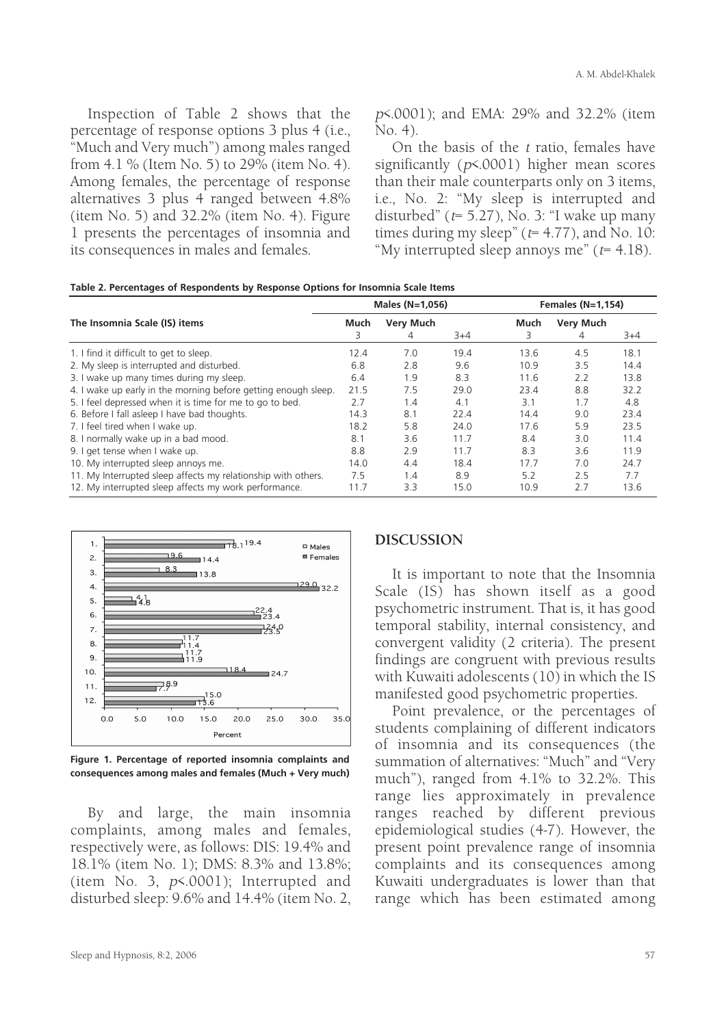Inspection of Table 2 shows that the percentage of response options 3 plus 4 (i.e., "Much and Very much") among males ranged from 4.1 % (Item No. 5) to 29% (item No. 4). Among females, the percentage of response alternatives 3 plus 4 ranged between 4.8% (item No. 5) and 32.2% (item No. 4). Figure 1 presents the percentages of insomnia and its consequences in males and females.

p<.0001); and EMA: 29% and 32.2% (item No. 4).

On the basis of the <sup>t</sup> ratio, females have significantly (p<.0001) higher mean scores than their male counterparts only on 3 items, i.e., No. 2: "My sleep is interrupted and disturbed" ( $t= 5.27$ ), No. 3: "I wake up many times during my sleep" ( $t= 4.77$ ), and No. 10: "My interrupted sleep annoys me" ( $t= 4.18$ ).

|  |  |  | Table 2. Percentages of Respondents by Response Options for Insomnia Scale Items |
|--|--|--|----------------------------------------------------------------------------------|
|--|--|--|----------------------------------------------------------------------------------|

|                                                                |      | Males $(N=1,056)$ |       |      | Females $(N=1,154)$ |      |  |
|----------------------------------------------------------------|------|-------------------|-------|------|---------------------|------|--|
| The Insomnia Scale (IS) items                                  |      | <b>Very Much</b>  |       | Much | <b>Very Much</b>    |      |  |
|                                                                | 3    | 4                 | $3+4$ | 3    | 4                   | 3+4  |  |
| 1. I find it difficult to get to sleep.                        | 12.4 | 7.0               | 19.4  | 13.6 | 4.5                 | 18.1 |  |
| 2. My sleep is interrupted and disturbed.                      | 6.8  | 2.8               | 9.6   | 10.9 | 3.5                 | 14.4 |  |
| 3. I wake up many times during my sleep.                       | 6.4  | 1.9               | 8.3   | 11.6 | 2.2                 | 13.8 |  |
| 4. I wake up early in the morning before getting enough sleep. | 21.5 | 7.5               | 29.0  | 23.4 | 8.8                 | 32.2 |  |
| 5. I feel depressed when it is time for me to go to bed.       | 2.7  | 1.4               | 4.1   | 3.1  | 1.7                 | 4.8  |  |
| 6. Before I fall asleep I have bad thoughts.                   | 14.3 | 8.1               | 22.4  | 14.4 | 9.0                 | 23.4 |  |
| 7. I feel tired when I wake up.                                | 18.2 | 5.8               | 24.0  | 17.6 | 5.9                 | 23.5 |  |
| 8. I normally wake up in a bad mood.                           | 8.1  | 3.6               | 11.7  | 8.4  | 3.0                 | 11.4 |  |
| 9. I get tense when I wake up.                                 | 8.8  | 2.9               | 11.7  | 8.3  | 3.6                 | 11.9 |  |
| 10. My interrupted sleep annoys me.                            | 14.0 | 4.4               | 18.4  | 17.7 | 7.0                 | 24.7 |  |
| 11. My Interrupted sleep affects my relationship with others.  | 7.5  | 1.4               | 8.9   | 5.2  | 2.5                 | 7.7  |  |
| 12. My interrupted sleep affects my work performance.          | 11.7 | 3.3               | 15.0  | 10.9 | 2.7                 | 13.6 |  |



**Figure 1. Percentage of reported insomnia complaints and consequences among males and females (Much + Very much)**

By and large, the main insomnia complaints, among males and females, respectively were, as follows: DIS: 19.4% and 18.1% (item No. 1); DMS: 8.3% and 13.8%; (item No. 3, p<.0001); Interrupted and disturbed sleep: 9.6% and 14.4% (item No. 2,

#### **DISCUSSION**

It is important to note that the Insomnia Scale (IS) has shown itself as a good psychometric instrument. That is, it has good temporal stability, internal consistency, and convergent validity (2 criteria). The present findings are congruent with previous results with Kuwaiti adolescents (10) in which the IS manifested good psychometric properties.

Point prevalence, or the percentages of students complaining of different indicators of insomnia and its consequences (the summation of alternatives: "Much" and "Very much"), ranged from 4.1% to 32.2%. This range lies approximately in prevalence ranges reached by different previous epidemiological studies (4-7). However, the present point prevalence range of insomnia complaints and its consequences among Kuwaiti undergraduates is lower than that range which has been estimated among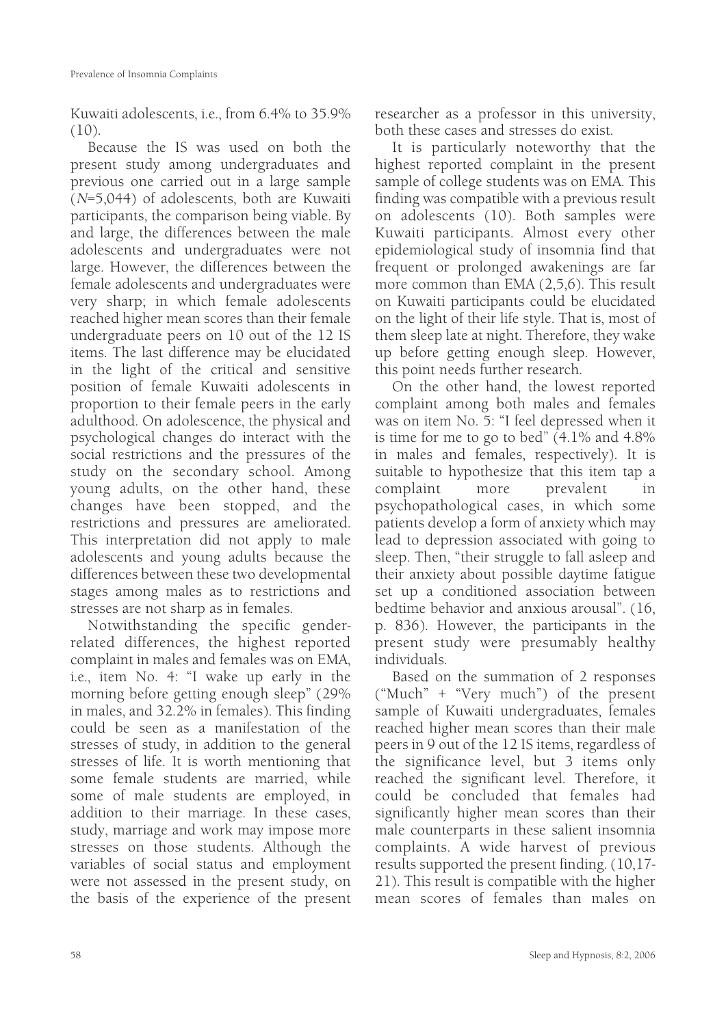Kuwaiti adolescents, i.e., from 6.4% to 35.9%  $(10)$ .

Because the IS was used on both the present study among undergraduates and previous one carried out in a large sample  $(N=5,044)$  of adolescents, both are Kuwaiti participants, the comparison being viable. By and large, the differences between the male adolescents and undergraduates were not large. However, the differences between the female adolescents and undergraduates were very sharp; in which female adolescents reached higher mean scores than their female undergraduate peers on 10 out of the 12 IS items. The last difference may be elucidated in the light of the critical and sensitive position of female Kuwaiti adolescents in proportion to their female peers in the early adulthood. On adolescence, the physical and psychological changes do interact with the social restrictions and the pressures of the study on the secondary school. Among young adults, on the other hand, these changes have been stopped, and the restrictions and pressures are ameliorated. This interpretation did not apply to male adolescents and young adults because the differences between these two developmental stages among males as to restrictions and stresses are not sharp as in females.

Notwithstanding the specific genderrelated differences, the highest reported complaint in males and females was on EMA, i.e., item No. 4: "I wake up early in the morning before getting enough sleep" (29% in males, and 32.2% in females). This finding could be seen as a manifestation of the stresses of study, in addition to the general stresses of life. It is worth mentioning that some female students are married, while some of male students are employed, in addition to their marriage. In these cases, study, marriage and work may impose more stresses on those students. Although the variables of social status and employment were not assessed in the present study, on the basis of the experience of the present

researcher as a professor in this university, both these cases and stresses do exist.

It is particularly noteworthy that the highest reported complaint in the present sample of college students was on EMA. This finding was compatible with a previous result on adolescents (10). Both samples were Kuwaiti participants. Almost every other epidemiological study of insomnia find that frequent or prolonged awakenings are far more common than EMA (2,5,6). This result on Kuwaiti participants could be elucidated on the light of their life style. That is, most of them sleep late at night. Therefore, they wake up before getting enough sleep. However, this point needs further research.

On the other hand, the lowest reported complaint among both males and females was on item No. 5: "I feel depressed when it is time for me to go to bed" (4.1% and 4.8% in males and females, respectively). It is suitable to hypothesize that this item tap a complaint more prevalent in psychopathological cases, in which some patients develop a form of anxiety which may lead to depression associated with going to sleep. Then, "their struggle to fall asleep and their anxiety about possible daytime fatigue set up a conditioned association between bedtime behavior and anxious arousal". (16, p. 836). However, the participants in the present study were presumably healthy individuals.

Based on the summation of 2 responses ("Much" + "Very much") of the present sample of Kuwaiti undergraduates, females reached higher mean scores than their male peers in 9 out of the 12 IS items, regardless of the significance level, but 3 items only reached the significant level. Therefore, it could be concluded that females had significantly higher mean scores than their male counterparts in these salient insomnia complaints. A wide harvest of previous results supported the present finding. (10,17- 21). This result is compatible with the higher mean scores of females than males on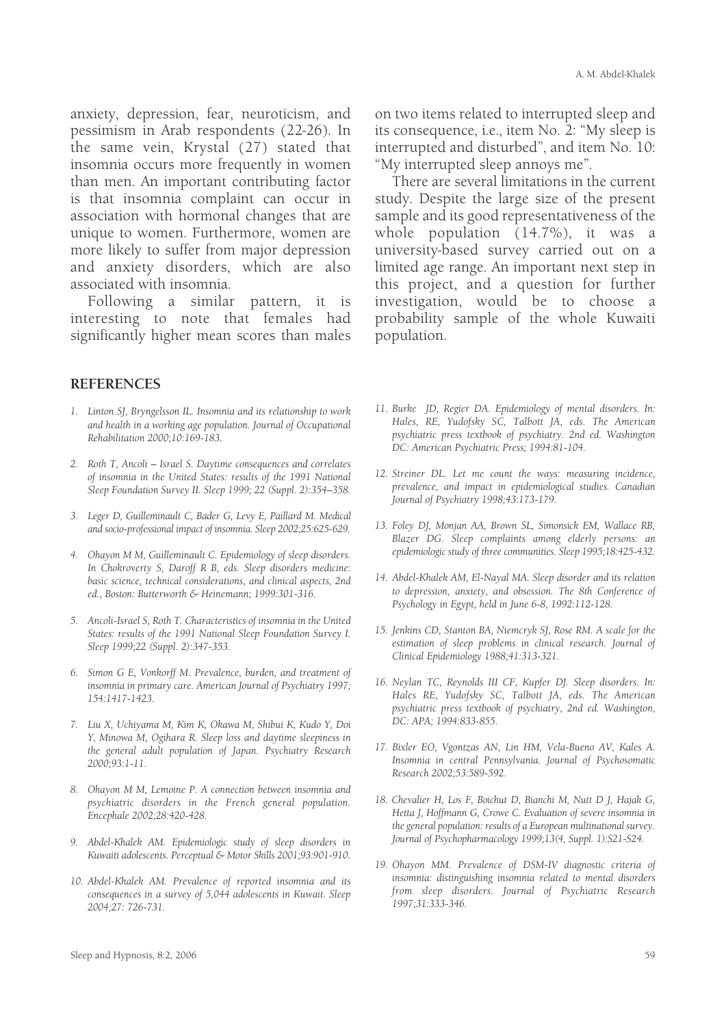anxiety, depression, fear, neuroticism, and pessimism in Arab respondents (22-26). In the same vein, Krystal (27) stated that insomnia occurs more frequently in women than men. An important contributing factor is that insomnia complaint can occur in association with hormonal changes that are unique to women. Furthermore, women are more likely to suffer from major depression and anxiety disorders, which are also associated with insomnia.

Following a similar pattern, it is interesting to note that females had significantly higher mean scores than males

#### **REFERENCES**

- *1. Linton SJ, Bryngelsson IL. Insomnia and its relationship to work and health in a working age population. Journal of Occupational Rehabilitation 2000;10:169-183.*
- *2. Roth T, Ancoli Israel S. Daytime consequences and correlates of insomnia in the United States: results of the 1991 National Sleep Foundation Survey II. Sleep 1999; 22 (Suppl. 2):354–358.*
- *3. Leger D, Guilleminault C, Bader G, Levy E, Paillard M. Medical and socio-professional impact of insomnia. Sleep 2002;25:625-629.*
- *4. Ohayon M M, Guilleminault C. Epidemiology of sleep disorders. In Chokroverty S, Daroff R B, eds. Sleep disorders medicine: basic science, technical considerations, and clinical aspects, 2nd ed., Boston: Butterworth & Heinemann; 1999:301-316.*
- *5. Ancoli-Israel S, Roth T. Characteristics of insomnia in the United States: results of the 1991 National Sleep Foundation Survey I. Sleep 1999;22 (Suppl. 2):347-353.*
- *6. Simon G E, Vonkorff M. Prevalence, burden, and treatment of insomnia in primary care. American Journal of Psychiatry 1997; 154:1417-1423.*
- *7. Liu X, Uchiyama M, Kim K, Okawa M, Shibui K, Kudo Y, Doi Y, Minowa M, Ogihara R. Sleep loss and daytime sleepiness in the general adult population of Japan. Psychiatry Research 2000;93:1-11.*
- *8. Ohayon M M, Lemoine P. A connection between insomnia and psychiatric disorders in the French general population. Encephale 2002;28:420-428.*
- *9. Abdel-Khalek AM. Epidemiologic study of sleep disorders in Kuwaiti adolescents. Perceptual & Motor Skills 2001;93:901-910.*
- *10. Abdel-Khalek AM. Prevalence of reported insomnia and its consequences in a survey of 5,044 adolescents in Kuwait. Sleep 2004;27: 726-731.*

on two items related to interrupted sleep and its consequence, i.e., item No. 2: "My sleep is interrupted and disturbed", and item No. 10: "My interrupted sleep annoys me".

There are several limitations in the current study. Despite the large size of the present sample and its good representativeness of the whole population (14.7%), it was a university-based survey carried out on a limited age range. An important next step in this project, and a question for further investigation, would be to choose a probability sample of the whole Kuwaiti population.

- *11. Burke JD, Regier DA. Epidemiology of mental disorders. In: Hales, RE, Yudofsky SC, Talbott JA, eds. The American psychiatric press textbook of psychiatry. 2nd ed. Washington DC: American Psychiatric Press; 1994:81-104.*
- *12. Streiner DL. Let me count the ways: measuring incidence, prevalence, and impact in epidemiological studies. Canadian Journal of Psychiatry 1998;43:173-179.*
- *13. Foley DJ, Monjan AA, Brown SL, Simonsick EM, Wallace RB, Blazer DG. Sleep complaints among elderly persons: an epidemiologic study of three communities. Sleep 1995;18:425-432.*
- *14. Abdel-Khalek AM, El-Nayal MA. Sleep disorder and its relation to depression, anxiety, and obsession. The 8th Conference of Psychology in Egypt, held in June 6-8, 1992:112-128.*
- *15. Jenkins CD, Stanton BA, Niemcryk SJ, Rose RM. A scale for the estimation of sleep problems in clinical research. Journal of Clinical Epidemiology 1988;41:313-321.*
- *16. Neylan TC, Reynolds III CF, Kupfer DJ. Sleep disorders. In: Hales RE, Yudofsky SC, Talbott JA, eds. The American psychiatric press textbook of psychiatry, 2nd ed. Washington, DC: APA; 1994:833-855.*
- *17. Bixler EO, Vgontzas AN, Lin HM, Vela-Bueno AV, Kales A. Insomnia in central Pennsylvania. Journal of Psychosomatic Research 2002;53:589-592.*
- *18. Chevalier H, Los F, Boichut D, Bianchi M, Nutt D J, Hajak G, Hetta J, Hoffmann G, Crowe C. Evaluation of severe insomnia in the general population: results of a European multinational survey. Journal of Psychopharmacology 1999;13(4, Suppl. 1):S21-S24.*
- *19. Ohayon MM. Prevalence of DSM-IV diagnostic criteria of insomnia: distinguishing insomnia related to mental disorders from sleep disorders. Journal of Psychiatric Research 1997;31:333-346.*